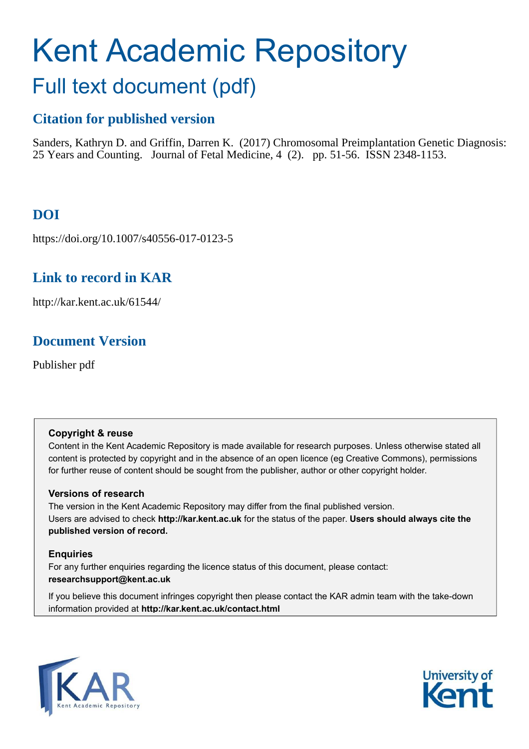# Kent Academic Repository Full text document (pdf)

# **Citation for published version**

Sanders, Kathryn D. and Griffin, Darren K. (2017) Chromosomal Preimplantation Genetic Diagnosis: 25 Years and Counting. Journal of Fetal Medicine, 4 (2). pp. 51-56. ISSN 2348-1153.

# **DOI**

https://doi.org/10.1007/s40556-017-0123-5

## **Link to record in KAR**

http://kar.kent.ac.uk/61544/

# **Document Version**

Publisher pdf

## **Copyright & reuse**

Content in the Kent Academic Repository is made available for research purposes. Unless otherwise stated all content is protected by copyright and in the absence of an open licence (eg Creative Commons), permissions for further reuse of content should be sought from the publisher, author or other copyright holder.

## **Versions of research**

The version in the Kent Academic Repository may differ from the final published version. Users are advised to check **http://kar.kent.ac.uk** for the status of the paper. **Users should always cite the published version of record.**

## **Enquiries**

For any further enquiries regarding the licence status of this document, please contact: **researchsupport@kent.ac.uk**

If you believe this document infringes copyright then please contact the KAR admin team with the take-down information provided at **http://kar.kent.ac.uk/contact.html**



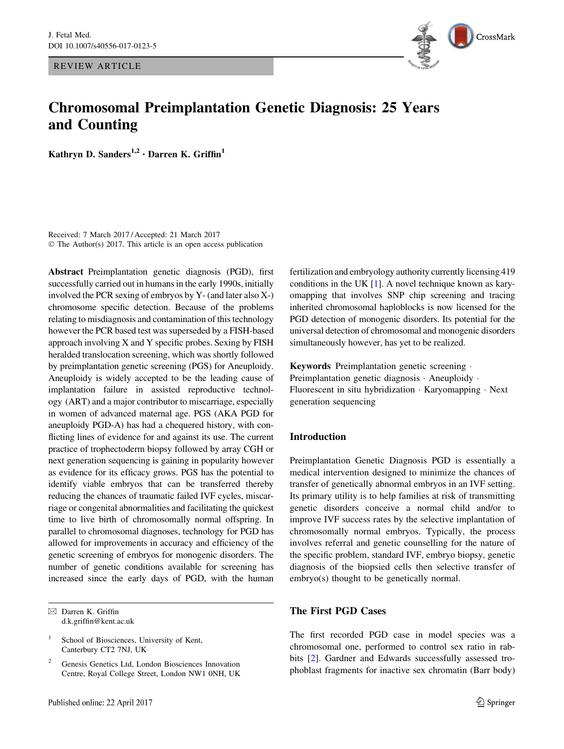REVIEW ARTICLE



## Chromosomal Preimplantation Genetic Diagnosis: 25 Years and Counting

Kathryn D. Sanders<sup>1,2</sup> · Darren K. Griffin<sup>1</sup>

Received: 7 March 2017 / Accepted: 21 March 2017  $©$  The Author(s) 2017. This article is an open access publication

Abstract Preimplantation genetic diagnosis (PGD), first successfully carried out in humans in the early 1990s, initially involved the PCR sexing of embryos by Y- (and later also X-) chromosome specific detection. Because of the problems relating to misdiagnosis and contamination of this technology however the PCR based test was superseded by a FISH-based approach involving X and Y specific probes. Sexing by FISH heralded translocation screening, which was shortly followed by preimplantation genetic screening (PGS) for Aneuploidy. Aneuploidy is widely accepted to be the leading cause of implantation failure in assisted reproductive technology (ART) and a major contributor to miscarriage, especially in women of advanced maternal age. PGS (AKA PGD for aneuploidy PGD-A) has had a chequered history, with conflicting lines of evidence for and against its use. The current practice of trophectoderm biopsy followed by array CGH or next generation sequencing is gaining in popularity however as evidence for its efficacy grows. PGS has the potential to identify viable embryos that can be transferred thereby reducing the chances of traumatic failed IVF cycles, miscarriage or congenital abnormalities and facilitating the quickest time to live birth of chromosomally normal offspring. In parallel to chromosomal diagnoses, technology for PGD has allowed for improvements in accuracy and efficiency of the genetic screening of embryos for monogenic disorders. The number of genetic conditions available for screening has increased since the early days of PGD, with the human

 $\boxtimes$  Darren K. Griffin d.k.griffin@kent.ac.uk

1 School of Biosciences, University of Kent, Canterbury CT2 7NJ, UK

<sup>2</sup> Genesis Genetics Ltd, London Biosciences Innovation Centre, Royal College Street, London NW1 0NH, UK fertilization and embryology authority currently licensing 419 conditions in the UK [[1\]](#page-4-0). A novel technique known as karyomapping that involves SNP chip screening and tracing inherited chromosomal haploblocks is now licensed for the PGD detection of monogenic disorders. Its potential for the universal detection of chromosomal and monogenic disorders simultaneously however, has yet to be realized.

Keywords Preimplantation genetic screening -Preimplantation genetic diagnosis · Aneuploidy · Fluorescent in situ hybridization · Karyomapping · Next generation sequencing

#### Introduction

Preimplantation Genetic Diagnosis PGD is essentially a medical intervention designed to minimize the chances of transfer of genetically abnormal embryos in an IVF setting. Its primary utility is to help families at risk of transmitting genetic disorders conceive a normal child and/or to improve IVF success rates by the selective implantation of chromosomally normal embryos. Typically, the process involves referral and genetic counselling for the nature of the specific problem, standard IVF, embryo biopsy, genetic diagnosis of the biopsied cells then selective transfer of embryo(s) thought to be genetically normal.

#### The First PGD Cases

The first recorded PGD case in model species was a chromosomal one, performed to control sex ratio in rabbits [\[2](#page-4-0)]. Gardner and Edwards successfully assessed trophoblast fragments for inactive sex chromatin (Barr body)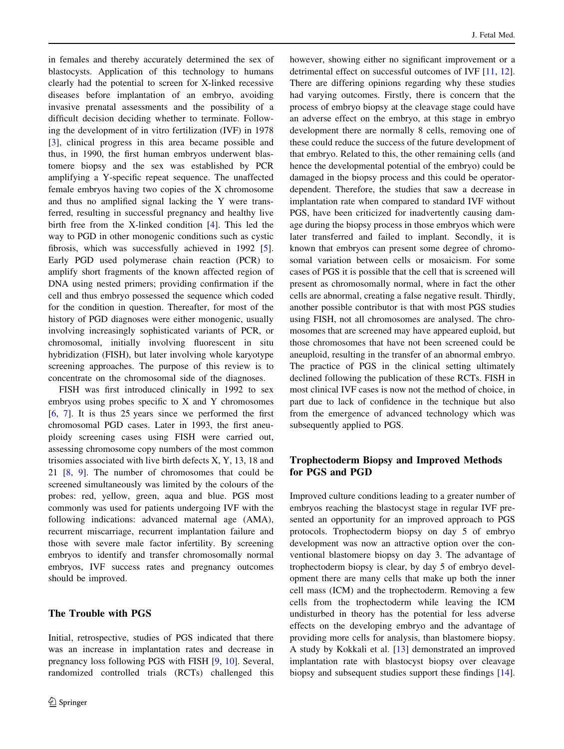in females and thereby accurately determined the sex of blastocysts. Application of this technology to humans clearly had the potential to screen for X-linked recessive diseases before implantation of an embryo, avoiding invasive prenatal assessments and the possibility of a difficult decision deciding whether to terminate. Following the development of in vitro fertilization (IVF) in 1978 [\[3](#page-4-0)], clinical progress in this area became possible and thus, in 1990, the first human embryos underwent blastomere biopsy and the sex was established by PCR amplifying a Y-specific repeat sequence. The unaffected female embryos having two copies of the X chromosome and thus no amplified signal lacking the Y were transferred, resulting in successful pregnancy and healthy live birth free from the X-linked condition [[4\]](#page-4-0). This led the way to PGD in other monogenic conditions such as cystic fibrosis, which was successfully achieved in 1992 [\[5](#page-4-0)]. Early PGD used polymerase chain reaction (PCR) to amplify short fragments of the known affected region of DNA using nested primers; providing confirmation if the cell and thus embryo possessed the sequence which coded for the condition in question. Thereafter, for most of the history of PGD diagnoses were either monogenic, usually involving increasingly sophisticated variants of PCR, or chromosomal, initially involving fluorescent in situ hybridization (FISH), but later involving whole karyotype screening approaches. The purpose of this review is to concentrate on the chromosomal side of the diagnoses.

FISH was first introduced clinically in 1992 to sex embryos using probes specific to X and Y chromosomes [\[6](#page-4-0), [7\]](#page-4-0). It is thus 25 years since we performed the first chromosomal PGD cases. Later in 1993, the first aneuploidy screening cases using FISH were carried out, assessing chromosome copy numbers of the most common trisomies associated with live birth defects X, Y, 13, 18 and 21 [[8,](#page-4-0) [9\]](#page-4-0). The number of chromosomes that could be screened simultaneously was limited by the colours of the probes: red, yellow, green, aqua and blue. PGS most commonly was used for patients undergoing IVF with the following indications: advanced maternal age (AMA), recurrent miscarriage, recurrent implantation failure and those with severe male factor infertility. By screening embryos to identify and transfer chromosomally normal embryos, IVF success rates and pregnancy outcomes should be improved.

#### The Trouble with PGS

Initial, retrospective, studies of PGS indicated that there was an increase in implantation rates and decrease in pregnancy loss following PGS with FISH [[9,](#page-4-0) [10\]](#page-4-0). Several, randomized controlled trials (RCTs) challenged this however, showing either no significant improvement or a detrimental effect on successful outcomes of IVF [[11,](#page-4-0) [12](#page-4-0)]. There are differing opinions regarding why these studies had varying outcomes. Firstly, there is concern that the process of embryo biopsy at the cleavage stage could have an adverse effect on the embryo, at this stage in embryo development there are normally 8 cells, removing one of these could reduce the success of the future development of that embryo. Related to this, the other remaining cells (and hence the developmental potential of the embryo) could be damaged in the biopsy process and this could be operatordependent. Therefore, the studies that saw a decrease in implantation rate when compared to standard IVF without PGS, have been criticized for inadvertently causing damage during the biopsy process in those embryos which were later transferred and failed to implant. Secondly, it is known that embryos can present some degree of chromosomal variation between cells or mosaicism. For some cases of PGS it is possible that the cell that is screened will present as chromosomally normal, where in fact the other cells are abnormal, creating a false negative result. Thirdly, another possible contributor is that with most PGS studies using FISH, not all chromosomes are analysed. The chromosomes that are screened may have appeared euploid, but those chromosomes that have not been screened could be aneuploid, resulting in the transfer of an abnormal embryo. The practice of PGS in the clinical setting ultimately declined following the publication of these RCTs. FISH in most clinical IVF cases is now not the method of choice, in part due to lack of confidence in the technique but also from the emergence of advanced technology which was subsequently applied to PGS.

#### Trophectoderm Biopsy and Improved Methods for PGS and PGD

Improved culture conditions leading to a greater number of embryos reaching the blastocyst stage in regular IVF presented an opportunity for an improved approach to PGS protocols. Trophectoderm biopsy on day 5 of embryo development was now an attractive option over the conventional blastomere biopsy on day 3. The advantage of trophectoderm biopsy is clear, by day 5 of embryo development there are many cells that make up both the inner cell mass (ICM) and the trophectoderm. Removing a few cells from the trophectoderm while leaving the ICM undisturbed in theory has the potential for less adverse effects on the developing embryo and the advantage of providing more cells for analysis, than blastomere biopsy. A study by Kokkali et al. [[13\]](#page-4-0) demonstrated an improved implantation rate with blastocyst biopsy over cleavage biopsy and subsequent studies support these findings [\[14](#page-4-0)].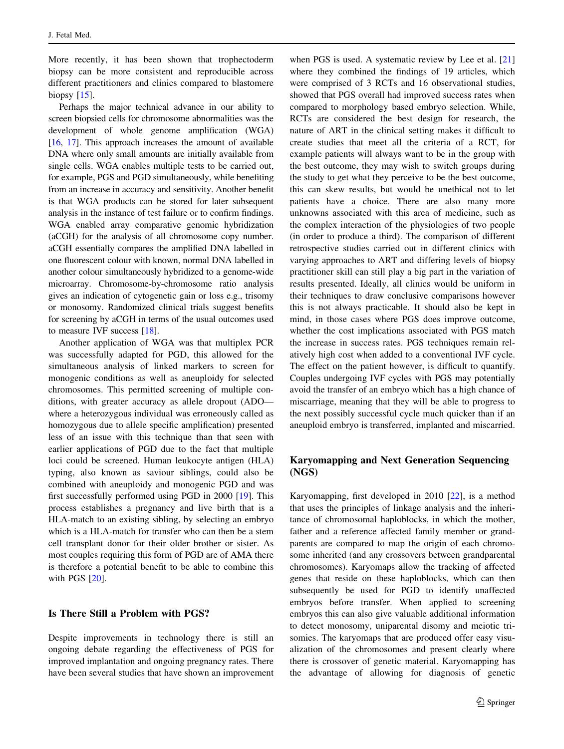More recently, it has been shown that trophectoderm biopsy can be more consistent and reproducible across different practitioners and clinics compared to blastomere biopsy  $[15]$  $[15]$ .

Perhaps the major technical advance in our ability to screen biopsied cells for chromosome abnormalities was the development of whole genome amplification (WGA) [\[16](#page-4-0), [17](#page-4-0)]. This approach increases the amount of available DNA where only small amounts are initially available from single cells. WGA enables multiple tests to be carried out, for example, PGS and PGD simultaneously, while benefiting from an increase in accuracy and sensitivity. Another benefit is that WGA products can be stored for later subsequent analysis in the instance of test failure or to confirm findings. WGA enabled array comparative genomic hybridization (aCGH) for the analysis of all chromosome copy number. aCGH essentially compares the amplified DNA labelled in one fluorescent colour with known, normal DNA labelled in another colour simultaneously hybridized to a genome-wide microarray. Chromosome-by-chromosome ratio analysis gives an indication of cytogenetic gain or loss e.g., trisomy or monosomy. Randomized clinical trials suggest benefits for screening by aCGH in terms of the usual outcomes used to measure IVF success [[18\]](#page-4-0).

Another application of WGA was that multiplex PCR was successfully adapted for PGD, this allowed for the simultaneous analysis of linked markers to screen for monogenic conditions as well as aneuploidy for selected chromosomes. This permitted screening of multiple conditions, with greater accuracy as allele dropout (ADO where a heterozygous individual was erroneously called as homozygous due to allele specific amplification) presented less of an issue with this technique than that seen with earlier applications of PGD due to the fact that multiple loci could be screened. Human leukocyte antigen (HLA) typing, also known as saviour siblings, could also be combined with aneuploidy and monogenic PGD and was first successfully performed using PGD in 2000 [\[19](#page-4-0)]. This process establishes a pregnancy and live birth that is a HLA-match to an existing sibling, by selecting an embryo which is a HLA-match for transfer who can then be a stem cell transplant donor for their older brother or sister. As most couples requiring this form of PGD are of AMA there is therefore a potential benefit to be able to combine this with PGS [[20\]](#page-4-0).

#### Is There Still a Problem with PGS?

Despite improvements in technology there is still an ongoing debate regarding the effectiveness of PGS for improved implantation and ongoing pregnancy rates. There have been several studies that have shown an improvement

when PGS is used. A systematic review by Lee et al. [[21\]](#page-4-0) where they combined the findings of 19 articles, which were comprised of 3 RCTs and 16 observational studies, showed that PGS overall had improved success rates when compared to morphology based embryo selection. While, RCTs are considered the best design for research, the nature of ART in the clinical setting makes it difficult to create studies that meet all the criteria of a RCT, for example patients will always want to be in the group with the best outcome, they may wish to switch groups during the study to get what they perceive to be the best outcome, this can skew results, but would be unethical not to let patients have a choice. There are also many more unknowns associated with this area of medicine, such as the complex interaction of the physiologies of two people (in order to produce a third). The comparison of different retrospective studies carried out in different clinics with varying approaches to ART and differing levels of biopsy practitioner skill can still play a big part in the variation of results presented. Ideally, all clinics would be uniform in their techniques to draw conclusive comparisons however this is not always practicable. It should also be kept in mind, in those cases where PGS does improve outcome, whether the cost implications associated with PGS match the increase in success rates. PGS techniques remain relatively high cost when added to a conventional IVF cycle. The effect on the patient however, is difficult to quantify. Couples undergoing IVF cycles with PGS may potentially avoid the transfer of an embryo which has a high chance of miscarriage, meaning that they will be able to progress to the next possibly successful cycle much quicker than if an aneuploid embryo is transferred, implanted and miscarried.

#### Karyomapping and Next Generation Sequencing (NGS)

Karyomapping, first developed in 2010 [[22\]](#page-4-0), is a method that uses the principles of linkage analysis and the inheritance of chromosomal haploblocks, in which the mother, father and a reference affected family member or grandparents are compared to map the origin of each chromosome inherited (and any crossovers between grandparental chromosomes). Karyomaps allow the tracking of affected genes that reside on these haploblocks, which can then subsequently be used for PGD to identify unaffected embryos before transfer. When applied to screening embryos this can also give valuable additional information to detect monosomy, uniparental disomy and meiotic trisomies. The karyomaps that are produced offer easy visualization of the chromosomes and present clearly where there is crossover of genetic material. Karyomapping has the advantage of allowing for diagnosis of genetic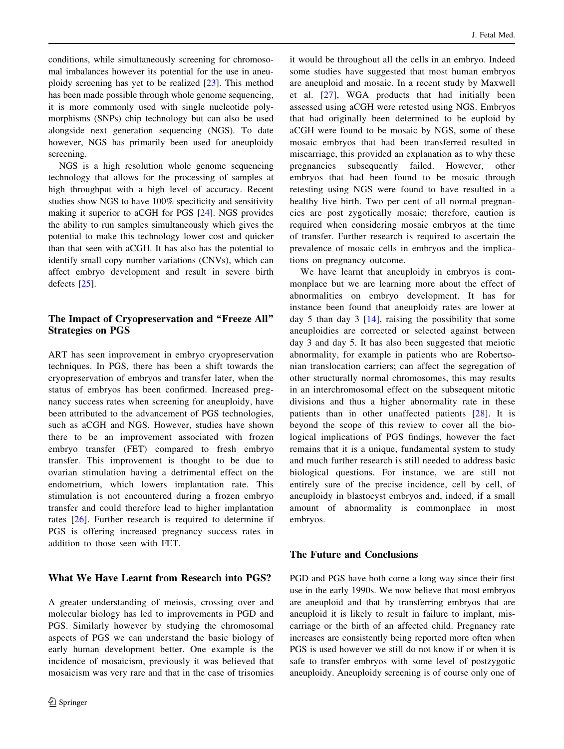<span id="page-4-0"></span>conditions, while simultaneously screening for chromosomal imbalances however its potential for the use in aneuploidy screening has yet to be realized [23]. This method has been made possible through whole genome sequencing, it is more commonly used with single nucleotide polymorphisms (SNPs) chip technology but can also be used alongside next generation sequencing (NGS). To date however, NGS has primarily been used for aneuploidy screening.

NGS is a high resolution whole genome sequencing technology that allows for the processing of samples at high throughput with a high level of accuracy. Recent studies show NGS to have 100% specificity and sensitivity making it superior to aCGH for PGS [[24\]](#page-5-0). NGS provides the ability to run samples simultaneously which gives the potential to make this technology lower cost and quicker than that seen with aCGH. It has also has the potential to identify small copy number variations (CNVs), which can affect embryo development and result in severe birth defects [\[25](#page-5-0)].

#### The Impact of Cryopreservation and ''Freeze All'' Strategies on PGS

ART has seen improvement in embryo cryopreservation techniques. In PGS, there has been a shift towards the cryopreservation of embryos and transfer later, when the status of embryos has been confirmed. Increased pregnancy success rates when screening for aneuploidy, have been attributed to the advancement of PGS technologies, such as aCGH and NGS. However, studies have shown there to be an improvement associated with frozen embryo transfer (FET) compared to fresh embryo transfer. This improvement is thought to be due to ovarian stimulation having a detrimental effect on the endometrium, which lowers implantation rate. This stimulation is not encountered during a frozen embryo transfer and could therefore lead to higher implantation rates [[26\]](#page-5-0). Further research is required to determine if PGS is offering increased pregnancy success rates in addition to those seen with FET.

#### What We Have Learnt from Research into PGS?

A greater understanding of meiosis, crossing over and molecular biology has led to improvements in PGD and PGS. Similarly however by studying the chromosomal aspects of PGS we can understand the basic biology of early human development better. One example is the incidence of mosaicism, previously it was believed that mosaicism was very rare and that in the case of trisomies it would be throughout all the cells in an embryo. Indeed some studies have suggested that most human embryos are aneuploid and mosaic. In a recent study by Maxwell et al. [\[27](#page-5-0)], WGA products that had initially been assessed using aCGH were retested using NGS. Embryos that had originally been determined to be euploid by aCGH were found to be mosaic by NGS, some of these mosaic embryos that had been transferred resulted in miscarriage, this provided an explanation as to why these pregnancies subsequently failed. However, other embryos that had been found to be mosaic through retesting using NGS were found to have resulted in a healthy live birth. Two per cent of all normal pregnancies are post zygotically mosaic; therefore, caution is required when considering mosaic embryos at the time of transfer. Further research is required to ascertain the prevalence of mosaic cells in embryos and the implications on pregnancy outcome.

We have learnt that aneuploidy in embryos is commonplace but we are learning more about the effect of abnormalities on embryo development. It has for instance been found that aneuploidy rates are lower at day 5 than day 3 [14], raising the possibility that some aneuploidies are corrected or selected against between day 3 and day 5. It has also been suggested that meiotic abnormality, for example in patients who are Robertsonian translocation carriers; can affect the segregation of other structurally normal chromosomes, this may results in an interchromosomal effect on the subsequent mitotic divisions and thus a higher abnormality rate in these patients than in other unaffected patients [[28](#page-5-0)]. It is beyond the scope of this review to cover all the biological implications of PGS findings, however the fact remains that it is a unique, fundamental system to study and much further research is still needed to address basic biological questions. For instance, we are still not entirely sure of the precise incidence, cell by cell, of aneuploidy in blastocyst embryos and, indeed, if a small amount of abnormality is commonplace in most embryos.

#### The Future and Conclusions

PGD and PGS have both come a long way since their first use in the early 1990s. We now believe that most embryos are aneuploid and that by transferring embryos that are aneuploid it is likely to result in failure to implant, miscarriage or the birth of an affected child. Pregnancy rate increases are consistently being reported more often when PGS is used however we still do not know if or when it is safe to transfer embryos with some level of postzygotic aneuploidy. Aneuploidy screening is of course only one of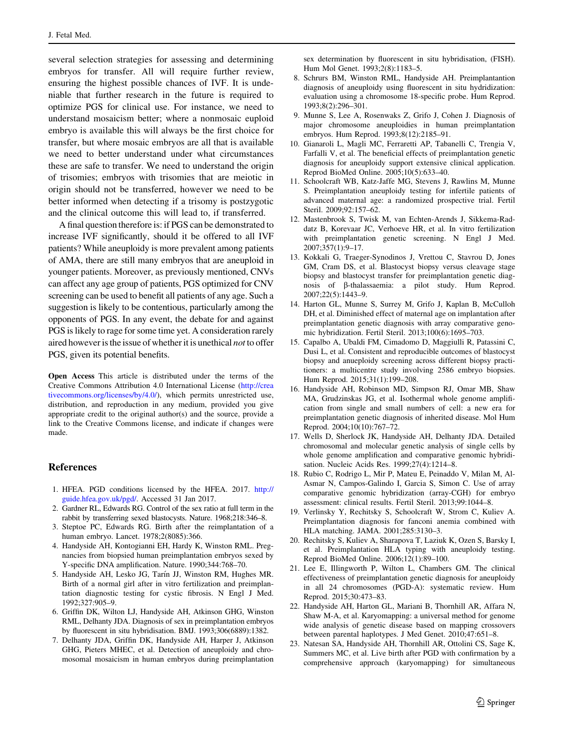<span id="page-5-0"></span>several selection strategies for assessing and determining embryos for transfer. All will require further review, ensuring the highest possible chances of IVF. It is undeniable that further research in the future is required to optimize PGS for clinical use. For instance, we need to understand mosaicism better; where a nonmosaic euploid embryo is available this will always be the first choice for transfer, but where mosaic embryos are all that is available we need to better understand under what circumstances these are safe to transfer. We need to understand the origin of trisomies; embryos with trisomies that are meiotic in origin should not be transferred, however we need to be better informed when detecting if a trisomy is postzygotic and the clinical outcome this will lead to, if transferred.

A final question therefore is: if PGS can be demonstrated to increase IVF significantly, should it be offered to all IVF patients? While aneuploidy is more prevalent among patients of AMA, there are still many embryos that are aneuploid in younger patients. Moreover, as previously mentioned, CNVs can affect any age group of patients, PGS optimized for CNV screening can be used to benefit all patients of any age. Such a suggestion is likely to be contentious, particularly among the opponents of PGS. In any event, the debate for and against PGS is likely to rage for some time yet. A consideration rarely aired however is the issue of whether it is unethical not to offer PGS, given its potential benefits.

Open Access This article is distributed under the terms of the Creative Commons Attribution 4.0 International License ([http://crea](http://creativecommons.org/licenses/by/4.0/) [tivecommons.org/licenses/by/4.0/\)](http://creativecommons.org/licenses/by/4.0/), which permits unrestricted use, distribution, and reproduction in any medium, provided you give appropriate credit to the original author(s) and the source, provide a link to the Creative Commons license, and indicate if changes were made.

#### **References**

- 1. HFEA. PGD conditions licensed by the HFEA. 2017. [http://](http://guide.hfea.gov.uk/pgd/) [guide.hfea.gov.uk/pgd/](http://guide.hfea.gov.uk/pgd/). Accessed 31 Jan 2017.
- 2. Gardner RL, Edwards RG. Control of the sex ratio at full term in the rabbit by transferring sexed blastocysts. Nature. 1968;218:346–8.
- 3. Steptoe PC, Edwards RG. Birth after the reimplantation of a human embryo. Lancet. 1978;2(8085):366.
- 4. Handyside AH, Kontogianni EH, Hardy K, Winston RML. Pregnancies from biopsied human preimplantation embryos sexed by Y-specific DNA amplification. Nature. 1990;344:768–70.
- 5. Handyside AH, Lesko JG, Tarín JJ, Winston RM, Hughes MR. Birth of a normal girl after in vitro fertilization and preimplantation diagnostic testing for cystic fibrosis. N Engl J Med. 1992;327:905–9.
- 6. Griffin DK, Wilton LJ, Handyside AH, Atkinson GHG, Winston RML, Delhanty JDA. Diagnosis of sex in preimplantation embryos by fluorescent in situ hybridisation. BMJ. 1993;306(6889):1382.
- 7. Delhanty JDA, Griffin DK, Handyside AH, Harper J, Atkinson GHG, Pieters MHEC, et al. Detection of aneuploidy and chromosomal mosaicism in human embryos during preimplantation

sex determination by fluorescent in situ hybridisation, (FISH). Hum Mol Genet. 1993;2(8):1183–5.

- 8. Schrurs BM, Winston RML, Handyside AH. Preimplantantion diagnosis of aneuploidy using fluorescent in situ hydridization: evaluation using a chromosome 18-specific probe. Hum Reprod. 1993;8(2):296–301.
- 9. Munne S, Lee A, Rosenwaks Z, Grifo J, Cohen J. Diagnosis of major chromosome aneuploidies in human preimplantation embryos. Hum Reprod. 1993;8(12):2185–91.
- 10. Gianaroli L, Magli MC, Ferraretti AP, Tabanelli C, Trengia V, Farfalli V, et al. The beneficial effects of preimplantation genetic diagnosis for aneuploidy support extensive clinical application. Reprod BioMed Online. 2005;10(5):633–40.
- 11. Schoolcraft WB, Katz-Jaffe MG, Stevens J, Rawlins M, Munne S. Preimplantation aneuploidy testing for infertile patients of advanced maternal age: a randomized prospective trial. Fertil Steril. 2009;92:157–62.
- 12. Mastenbrook S, Twisk M, van Echten-Arends J, Sikkema-Raddatz B, Korevaar JC, Verhoeve HR, et al. In vitro fertilization with preimplantation genetic screening. N Engl J Med. 2007;357(1):9–17.
- 13. Kokkali G, Traeger-Synodinos J, Vrettou C, Stavrou D, Jones GM, Cram DS, et al. Blastocyst biopsy versus cleavage stage biopsy and blastocyst transfer for preimplantation genetic diagnosis of b-thalassaemia: a pilot study. Hum Reprod. 2007;22(5):1443–9.
- 14. Harton GL, Munne S, Surrey M, Grifo J, Kaplan B, McCulloh DH, et al. Diminished effect of maternal age on implantation after preimplantation genetic diagnosis with array comparative genomic hybridization. Fertil Steril. 2013;100(6):1695–703.
- 15. Capalbo A, Ubaldi FM, Cimadomo D, Maggiulli R, Patassini C, Dusi L, et al. Consistent and reproducible outcomes of blastocyst biopsy and anueploidy screening across different biopsy practitioners: a multicentre study involving 2586 embryo biopsies. Hum Reprod. 2015;31(1):199–208.
- 16. Handyside AH, Robinson MD, Simpson RJ, Omar MB, Shaw MA, Grudzinskas JG, et al. Isothermal whole genome amplification from single and small numbers of cell: a new era for preimplantation genetic diagnosis of inherited disease. Mol Hum Reprod. 2004;10(10):767–72.
- 17. Wells D, Sherlock JK, Handyside AH, Delhanty JDA. Detailed chromosomal and molecular genetic analysis of single cells by whole genome amplification and comparative genomic hybridisation. Nucleic Acids Res. 1999;27(4):1214–8.
- 18. Rubio C, Rodrigo L, Mir P, Mateu E, Peinaddo V, Milan M, Al-Asmar N, Campos-Galindo I, Garcia S, Simon C. Use of array comparative genomic hybridization (array-CGH) for embryo assessment: clinical results. Fertil Steril. 2013;99:1044–8.
- 19. Verlinsky Y, Rechitsky S, Schoolcraft W, Strom C, Kuliev A. Preimplantation diagnosis for fanconi anemia combined with HLA matching. JAMA. 2001;285:3130–3.
- 20. Rechitsky S, Kuliev A, Sharapova T, Laziuk K, Ozen S, Barsky I, et al. Preimplantation HLA typing with aneuploidy testing. Reprod BioMed Online. 2006;12(1):89–100.
- 21. Lee E, Illingworth P, Wilton L, Chambers GM. The clinical effectiveness of preimplantation genetic diagnosis for aneuploidy in all 24 chromosomes (PGD-A): systematic review. Hum Reprod. 2015;30:473–83.
- 22. Handyside AH, Harton GL, Mariani B, Thornhill AR, Affara N, Shaw M-A, et al. Karyomapping: a universal method for genome wide analysis of genetic disease based on mapping crossovers between parental haplotypes. J Med Genet. 2010;47:651–8.
- 23. Natesan SA, Handyside AH, Thornhill AR, Ottolini CS, Sage K, Summers MC, et al. Live birth after PGD with confirmation by a comprehensive approach (karyomapping) for simultaneous